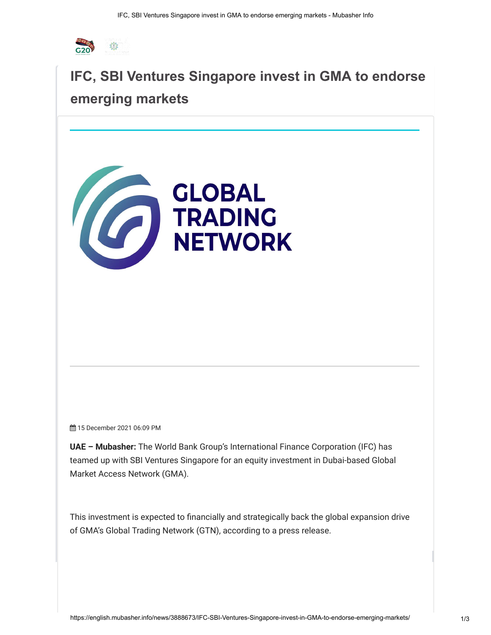

# **[IFC, SBI Ventures Singapore invest in GMA to](https://googleads.g.doubleclick.net/pcs/click?xai=AKAOjssj19TV1V-qg2wv0cpnvrhnoFvif6KlXsfM93oFgFmlZXIOLoZQjsQCigT0RfQKllm-cpRznZ0dLrASSsyp3A2xOWEbtWwWg4p_zAoHyDmik2ZC2zMtvoUgZJIy5c6jHNBZXMdHj46TGfCww9JvT0iqsd5YE3TCaA0TVzTTRjsLH92Mos3f_xrXoRysAJf6V1mNZcXk-E4vz_Ll6jkbEyTXluwnfSKkqmpk6MidUk5qtnTsNL4IcvQ-wnFRdN2d3dKQ5SzsSas16SZMwTYty9feZuveFoQ8SJvDlgVauv9QQiYgPisppbVg1A&sig=Cg0ArKJSzCbZUq_zTuTJ&fbs_aeid=[gw_fbsaeid]&adurl=https://www.mubasher.info/subscribe&nm=4) endorse emerging markets**



15 December 2021 06:09 PM

**UAE – Mubasher:** The World Bank Group's International Finance Corporation (IFC) has teamed up with SBI Ventures Singapore for an equity investment in Dubai-based Global Market Access Network (GMA).

This investment is expected to financially and strategically back the global expansion drive of GMA's Global Trading Network (GTN), according to a press release.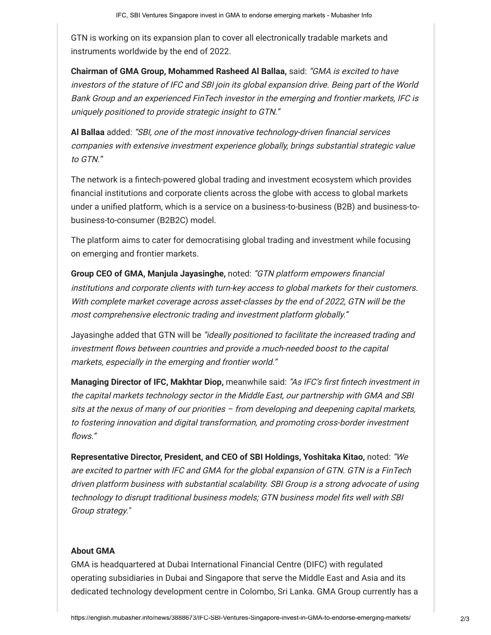GTN is working on its expansion plan to cover all electronically tradable markets and instruments worldwide by the end of 2022.

**Chairman of GMA Group, Mohammed Rasheed Al Ballaa,** said: "GMA is excited to have investors of the stature of IFC and SBI join its global expansion drive. Being part of the World Bank Group and an experienced FinTech investor in the emerging and frontier markets, IFC is uniquely positioned to provide strategic insight to GTN."

**Al Ballaa** added: "SBI, one of the most innovative technology-driven financial services companies with extensive investment experience globally, brings substantial strategic value to GTN."

The network is a fintech-powered global trading and investment ecosystem which provides financial institutions and corporate clients across the globe with access to global markets under a unified platform, which is a service on a business-to-business (B2B) and business-tobusiness-to-consumer (B2B2C) model.

The platform aims to cater for democratising global trading and investment while focusing on emerging and frontier markets.

**Group CEO of GMA, Manjula Jayasinghe,** noted: "GTN platform empowers financial institutions and corporate clients with turn-key access to global markets for their customers. With complete market coverage across asset-classes by the end of 2022, GTN will be the most comprehensive electronic trading and investment platform globally."

Jayasinghe added that GTN will be "ideally positioned to facilitate the increased trading and investment flows between countries and provide a much-needed boost to the capital markets, especially in the emerging and frontier world."

**Managing Director of IFC, Makhtar Diop,** meanwhile said: "As IFC's first fintech investment in the capital markets technology sector in the Middle East, our partnership with GMA and SBI sits at the nexus of many of our priorities – from developing and deepening capital markets, to fostering innovation and digital transformation, and promoting cross-border investment flows."

**Representative Director, President, and CEO of SBI Holdings, Yoshitaka Kitao,** noted: "We are excited to partner with IFC and GMA for the global expansion of GTN. GTN is a FinTech driven platform business with substantial scalability. SBI Group is a strong advocate of using technology to disrupt traditional business models; GTN business model fits well with SBI Group strategy."

## **About GMA**

GMA is headquartered at Dubai International Financial Centre (DIFC) with regulated operating subsidiaries in Dubai and Singapore that serve the Middle East and Asia and its dedicated technology development centre in Colombo, Sri Lanka. GMA Group currently has a